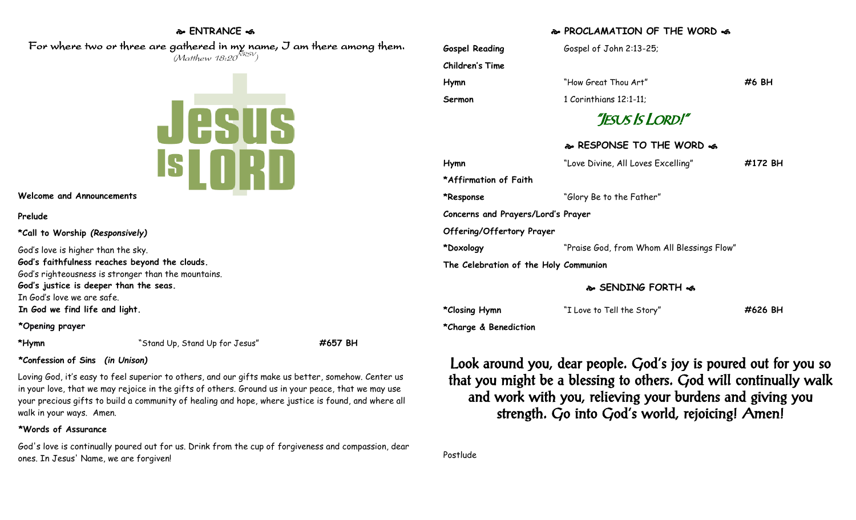### **ENTRANCE**

### For where two or three are gathered in my name, I am there among them.  $(M$ atthew 18:20 $^{NRSV})$



**Welcome and Announcements**

#### **Prelude**

**\*Call to Worship** *(Responsively)*

God's love is higher than the sky. **God's faithfulness reaches beyond the clouds.** God's righteousness is stronger than the mountains. **God's justice is deeper than the seas.** In God's love we are safe. **In God we find life and light.**

#### **\*Opening prayer**

**\*Hymn** "Stand Up, Stand Up for Jesus" **#657 BH**

## **\*Confession of Sins** *(in Unison)*

Loving God, it's easy to feel superior to others, and our gifts make us better, somehow. Center us in your love, that we may rejoice in the gifts of others. Ground us in your peace, that we may use your precious gifts to build a community of healing and hope, where justice is found, and where all walk in your ways. Amen.

## **\*Words of Assurance**

God's love is continually poured out for us. Drink from the cup of forgiveness and compassion, dear ones. In Jesus' Name, we are forgiven!

## **PROCLAMATION OF THE WORD**

Gospel Reading **Gospel of John 2:13-25; Children's Time Hymn** "How Great Thou Art" **#6 BH Sermon** 1 Corinthians 12:1-11; "JESUS IS LORD!" **RESPONSE TO THE WORD Hymn** "Love Divine, All Loves Excelling" **#172 BH \*Affirmation of Faith \*Response** "Glory Be to the Father" **Concerns and Prayers/Lord's Prayer Offering/Offertory Prayer \*Doxology** "Praise God, from Whom All Blessings Flow" **The Celebration of the Holy Communion SENDING FORTH** 

**\*Closing Hymn** "I Love to Tell the Story" **#626 BH**

**\*Charge & Benediction**

Look around you, dear people. God's joy is poured out for you so that you might be a blessing to others. God will continually walk and work with you, relieving your burdens and giving you strength. Go into God's world, rejoicing! Amen!

Postlude